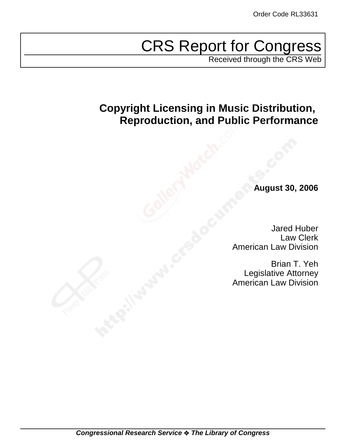# CRS Report for Congress

Received through the CRS Web

# **Copyright Licensing in Music Distribution, Reproduction, and Public Performance**

**August 30, 2006**

Jared Huber Law Clerk American Law Division

Brian T. Yeh Legislative Attorney American Law Division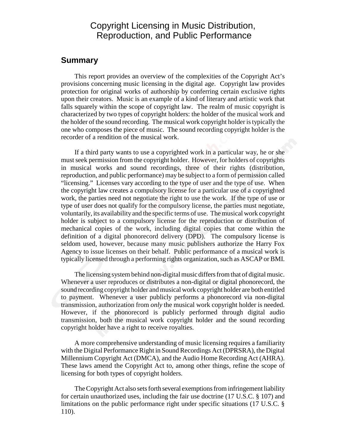### Copyright Licensing in Music Distribution, Reproduction, and Public Performance

#### **Summary**

This report provides an overview of the complexities of the Copyright Act's provisions concerning music licensing in the digital age. Copyright law provides protection for original works of authorship by conferring certain exclusive rights upon their creators. Music is an example of a kind of literary and artistic work that falls squarely within the scope of copyright law. The realm of music copyright is characterized by two types of copyright holders: the holder of the musical work and the holder of the sound recording. The musical work copyright holder is typically the one who composes the piece of music. The sound recording copyright holder is the recorder of a rendition of the musical work.

If a third party wants to use a copyrighted work in a particular way, he or she must seek permission from the copyright holder. However, for holders of copyrights in musical works and sound recordings, three of their rights (distribution, reproduction, and public performance) may be subject to a form of permission called "licensing." Licenses vary according to the type of user and the type of use. When the copyright law creates a compulsory license for a particular use of a copyrighted work, the parties need not negotiate the right to use the work. If the type of use or type of user does not qualify for the compulsory license, the parties must negotiate, voluntarily, its availability and the specific terms of use. The musical work copyright holder is subject to a compulsory license for the reproduction or distribution of mechanical copies of the work, including digital copies that come within the definition of a digital phonorecord delivery (DPD). The compulsory license is seldom used, however, because many music publishers authorize the Harry Fox Agency to issue licenses on their behalf. Public performance of a musical work is typically licensed through a performing rights organization, such as ASCAP or BMI.

The licensing system behind non-digital music differs from that of digital music. Whenever a user reproduces or distributes a non-digital or digital phonorecord, the sound recording copyright holder and musical work copyright holder are both entitled to payment. Whenever a user publicly performs a phonorecord via non-digital transmission, authorization from *only* the musical work copyright holder is needed. However, if the phonorecord is publicly performed through digital audio transmission, both the musical work copyright holder and the sound recording copyright holder have a right to receive royalties.

A more comprehensive understanding of music licensing requires a familiarity with the Digital Performance Right in Sound Recordings Act (DPRSRA), the Digital Millennium Copyright Act (DMCA), and the Audio Home Recording Act (AHRA). These laws amend the Copyright Act to, among other things, refine the scope of licensing for both types of copyright holders.

The Copyright Act also sets forth several exemptions from infringement liability for certain unauthorized uses, including the fair use doctrine (17 U.S.C. § 107) and limitations on the public performance right under specific situations (17 U.S.C. § 110).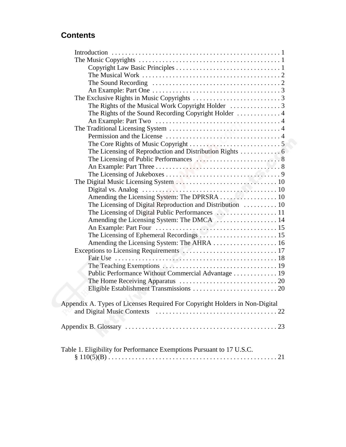## **Contents**

| The Sound Recording $\ldots \ldots \ldots \ldots \ldots \ldots \ldots \ldots \ldots \ldots \ldots \ldots$ |  |
|-----------------------------------------------------------------------------------------------------------|--|
|                                                                                                           |  |
|                                                                                                           |  |
|                                                                                                           |  |
|                                                                                                           |  |
|                                                                                                           |  |
|                                                                                                           |  |
|                                                                                                           |  |
|                                                                                                           |  |
|                                                                                                           |  |
|                                                                                                           |  |
|                                                                                                           |  |
|                                                                                                           |  |
|                                                                                                           |  |
|                                                                                                           |  |
|                                                                                                           |  |
| The Licensing of Digital Reproduction and Distribution  10                                                |  |
|                                                                                                           |  |
| Amending the Licensing System: The DMCA  14                                                               |  |
|                                                                                                           |  |
| The Licensing of Ephemeral Recordings  15                                                                 |  |
| Amending the Licensing System: The AHRA  16                                                               |  |
|                                                                                                           |  |
|                                                                                                           |  |
|                                                                                                           |  |
| Public Performance Without Commercial Advantage 19                                                        |  |
|                                                                                                           |  |
|                                                                                                           |  |
| Appendix A. Types of Licenses Required For Copyright Holders in Non-Digital                               |  |
|                                                                                                           |  |
|                                                                                                           |  |
| Table 1. Eligibility for Performance Exemptions Pursuant to 17 U.S.C.                                     |  |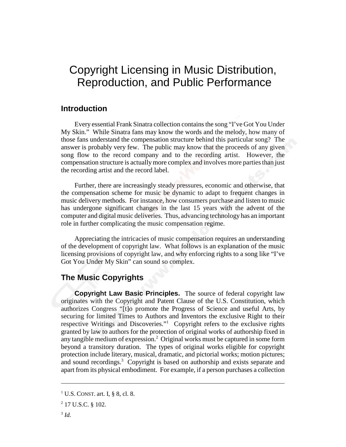# Copyright Licensing in Music Distribution, Reproduction, and Public Performance

#### **Introduction**

Every essential Frank Sinatra collection contains the song "I've Got You Under My Skin." While Sinatra fans may know the words and the melody, how many of those fans understand the compensation structure behind this particular song? The answer is probably very few. The public may know that the proceeds of any given song flow to the record company and to the recording artist. However, the compensation structure is actually more complex and involves more parties than just the recording artist and the record label.

Further, there are increasingly steady pressures, economic and otherwise, that the compensation scheme for music be dynamic to adapt to frequent changes in music delivery methods. For instance, how consumers purchase and listen to music has undergone significant changes in the last 15 years with the advent of the computer and digital music deliveries. Thus, advancing technology has an important role in further complicating the music compensation regime.

Appreciating the intricacies of music compensation requires an understanding of the development of copyright law. What follows is an explanation of the music licensing provisions of copyright law, and why enforcing rights to a song like "I've Got You Under My Skin" can sound so complex.

#### **The Music Copyrights**

**Copyright Law Basic Principles.** The source of federal copyright law originates with the Copyright and Patent Clause of the U.S. Constitution, which authorizes Congress "[t]o promote the Progress of Science and useful Arts, by securing for limited Times to Authors and Inventors the exclusive Right to their respective Writings and Discoveries."<sup>1</sup> Copyright refers to the exclusive rights granted by law to authors for the protection of original works of authorship fixed in any tangible medium of expression.<sup>2</sup> Original works must be captured in some form beyond a transitory duration. The types of original works eligible for copyright protection include literary, musical, dramatic, and pictorial works; motion pictures; and sound recordings.<sup>3</sup> Copyright is based on authorship and exists separate and apart from its physical embodiment. For example, if a person purchases a collection

<sup>&</sup>lt;sup>1</sup> U.S. CONST. art. I, § 8, cl. 8.

 $2$  17 U.S.C. § 102.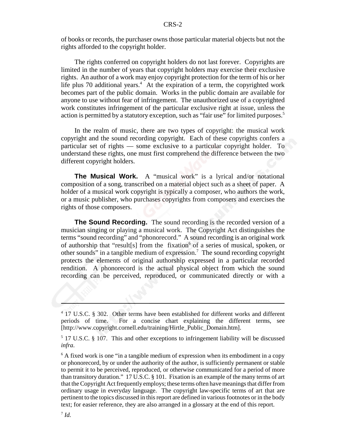of books or records, the purchaser owns those particular material objects but not the rights afforded to the copyright holder.

The rights conferred on copyright holders do not last forever. Copyrights are limited in the number of years that copyright holders may exercise their exclusive rights. An author of a work may enjoy copyright protection for the term of his or her life plus 70 additional years.<sup>4</sup> At the expiration of a term, the copyrighted work becomes part of the public domain. Works in the public domain are available for anyone to use without fear of infringement. The unauthorized use of a copyrighted work constitutes infringement of the particular exclusive right at issue, unless the action is permitted by a statutory exception, such as "fair use" for limited purposes.<sup>5</sup>

In the realm of music, there are two types of copyright: the musical work copyright and the sound recording copyright. Each of these copyrights confers a particular set of rights — some exclusive to a particular copyright holder. To understand these rights, one must first comprehend the difference between the two different copyright holders.

**The Musical Work.** A "musical work" is a lyrical and/or notational composition of a song, transcribed on a material object such as a sheet of paper. A holder of a musical work copyright is typically a composer, who authors the work, or a music publisher, who purchases copyrights from composers and exercises the rights of those composers.

**The Sound Recording.** The sound recording is the recorded version of a musician singing or playing a musical work. The Copyright Act distinguishes the terms "sound recording" and "phonorecord." A sound recording is an original work of authorship that "result[s] from the fixation<sup>6</sup> of a series of musical, spoken, or other sounds" in a tangible medium of expression.<sup>7</sup> The sound recording copyright protects the elements of original authorship expressed in a particular recorded rendition. A phonorecord is the actual physical object from which the sound recording can be perceived, reproduced, or communicated directly or with a

<sup>&</sup>lt;sup>4</sup> 17 U.S.C. § 302. Other terms have been established for different works and different periods of time. For a concise chart explaining the different terms, see [http://www.copyright.cornell.edu/training/Hirtle\_Public\_Domain.htm].

<sup>&</sup>lt;sup>5</sup> 17 U.S.C. § 107. This and other exceptions to infringement liability will be discussed *infra*.

<sup>&</sup>lt;sup>6</sup> A fixed work is one "in a tangible medium of expression when its embodiment in a copy or phonorecord, by or under the authority of the author, is sufficiently permanent or stable to permit it to be perceived, reproduced, or otherwise communicated for a period of more than transitory duration." 17 U.S.C. § 101. Fixation is an example of the many terms of art that the Copyright Act frequently employs; these terms often have meanings that differ from ordinary usage in everyday language. The copyright law-specific terms of art that are pertinent to the topics discussed in this report are defined in various footnotes or in the body text; for easier reference, they are also arranged in a glossary at the end of this report.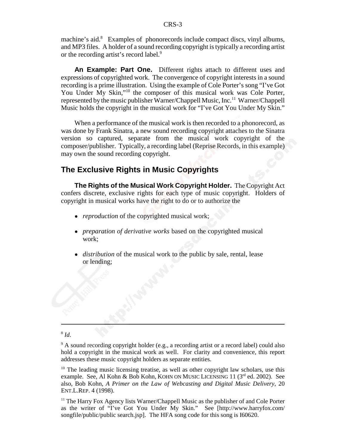machine's aid.<sup>8</sup> Examples of phonorecords include compact discs, vinyl albums, and MP3 files. A holder of a sound recording copyright is typically a recording artist or the recording artist's record label.<sup>9</sup>

**An Example: Part One.** Different rights attach to different uses and expressions of copyrighted work. The convergence of copyright interests in a sound recording is a prime illustration. Using the example of Cole Porter's song "I've Got You Under My Skin,"<sup>10</sup> the composer of this musical work was Cole Porter, represented by the music publisher Warner/Chappell Music, Inc.<sup>11</sup> Warner/Chappell Music holds the copyright in the musical work for "I've Got You Under My Skin."

When a performance of the musical work is then recorded to a phonorecord, as was done by Frank Sinatra, a new sound recording copyright attaches to the Sinatra version so captured, separate from the musical work copyright of the composer/publisher. Typically, a recording label (Reprise Records, in this example) may own the sound recording copyright.

#### **The Exclusive Rights in Music Copyrights**

**The Rights of the Musical Work Copyright Holder.** The Copyright Act confers discrete, exclusive rights for each type of music copyright. Holders of copyright in musical works have the right to do or to authorize the

- *reproduction* of the copyrighted musical work;
- ! *preparation of derivative works* based on the copyrighted musical work;
- ! *distribution* of the musical work to the public by sale, rental, lease or lending;

<sup>8</sup> *Id*.

<sup>9</sup> A sound recording copyright holder (e.g., a recording artist or a record label) could also hold a copyright in the musical work as well. For clarity and convenience, this report addresses these music copyright holders as separate entities.

 $10$  The leading music licensing treatise, as well as other copyright law scholars, use this example. See, Al Kohn & Bob Kohn, KOHN ON MUSIC LICENSING 11  $(3^{rd}$  ed. 2002). See also, Bob Kohn, *A Primer on the Law of Webcasting and Digital Music Delivery*, 20 ENT.L.REP. 4 (1998).

 $<sup>11</sup>$  The Harry Fox Agency lists Warner/Chappell Music as the publisher of and Cole Porter</sup> as the writer of "I've Got You Under My Skin." See [http://www.harryfox.com/ songfile/public/public search.jsp]. The HFA song code for this song is I60620.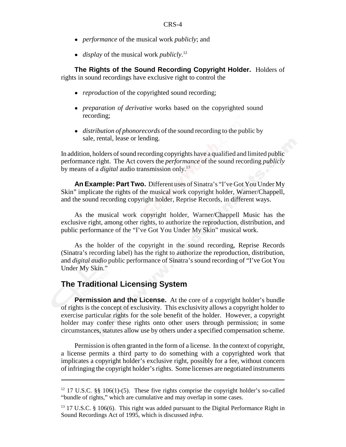- ! *performance* of the musical work *publicly*; and
- *display* of the musical work *publicly*.<sup>12</sup>

**The Rights of the Sound Recording Copyright Holder.** Holders of rights in sound recordings have exclusive right to control the

- *reproduction* of the copyrighted sound recording;
- *preparation of derivative* works based on the copyrighted sound recording;
- ! *distribution of phonorecords* of the sound recording to the public by sale, rental, lease or lending.

In addition, holders of sound recording copyrights have a qualified and limited public performance right. The Act covers the *performance* of the sound recording *publicly* by means of a *digital* audio transmission only.13

**An Example: Part Two.** Different uses of Sinatra's "I've Got You Under My Skin" implicate the rights of the musical work copyright holder, Warner/Chappell, and the sound recording copyright holder, Reprise Records, in different ways.

As the musical work copyright holder, Warner/Chappell Music has the exclusive right, among other rights, to authorize the reproduction, distribution, and public performance of the "I've Got You Under My Skin" musical work.

As the holder of the copyright in the sound recording, Reprise Records (Sinatra's recording label) has the right to authorize the reproduction, distribution, and *digital audio* public performance of Sinatra's sound recording of "I've Got You Under My Skin."

#### **The Traditional Licensing System**

**Permission and the License.** At the core of a copyright holder's bundle of rights is the concept of exclusivity. This exclusivity allows a copyright holder to exercise particular rights for the sole benefit of the holder. However, a copyright holder may confer these rights onto other users through permission; in some circumstances, statutes allow use by others under a specified compensation scheme.

Permission is often granted in the form of a license. In the context of copyright, a license permits a third party to do something with a copyrighted work that implicates a copyright holder's exclusive right, possibly for a fee, without concern of infringing the copyright holder's rights. Some licenses are negotiated instruments

 $12$  17 U.S.C. §§ 106(1)-(5). These five rights comprise the copyright holder's so-called "bundle of rights," which are cumulative and may overlap in some cases.

 $13$  17 U.S.C. § 106(6). This right was added pursuant to the Digital Performance Right in Sound Recordings Act of 1995, which is discussed *infra*.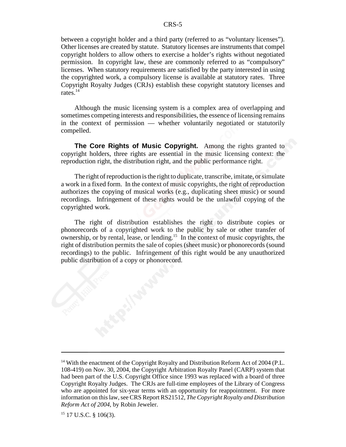between a copyright holder and a third party (referred to as "voluntary licenses"). Other licenses are created by statute. Statutory licenses are instruments that compel copyright holders to allow others to exercise a holder's rights without negotiated permission. In copyright law, these are commonly referred to as "compulsory" licenses. When statutory requirements are satisfied by the party interested in using the copyrighted work, a compulsory license is available at statutory rates. Three Copyright Royalty Judges (CRJs) establish these copyright statutory licenses and rates.14

Although the music licensing system is a complex area of overlapping and sometimes competing interests and responsibilities, the essence of licensing remains in the context of permission — whether voluntarily negotiated or statutorily compelled.

**The Core Rights of Music Copyright.** Among the rights granted to copyright holders, three rights are essential in the music licensing context: the reproduction right, the distribution right, and the public performance right.

The right of reproduction is the right to duplicate, transcribe, imitate, or simulate a work in a fixed form. In the context of music copyrights, the right of reproduction authorizes the copying of musical works (e.g., duplicating sheet music) or sound recordings. Infringement of these rights would be the unlawful copying of the copyrighted work.

The right of distribution establishes the right to distribute copies or phonorecords of a copyrighted work to the public by sale or other transfer of ownership, or by rental, lease, or lending.15 In the context of music copyrights, the right of distribution permits the sale of copies (sheet music) or phonorecords (sound recordings) to the public. Infringement of this right would be any unauthorized public distribution of a copy or phonorecord.

<sup>&</sup>lt;sup>14</sup> With the enactment of the Copyright Royalty and Distribution Reform Act of 2004 (P.L. 108-419) on Nov. 30, 2004, the Copyright Arbitration Royalty Panel (CARP) system that had been part of the U.S. Copyright Office since 1993 was replaced with a board of three Copyright Royalty Judges. The CRJs are full-time employees of the Library of Congress who are appointed for six-year terms with an opportunity for reappointment. For more information on this law, see CRS Report RS21512, *The Copyright Royalty and Distribution Reform Act of 2004*, by Robin Jeweler.

 $15$  17 U.S.C. § 106(3).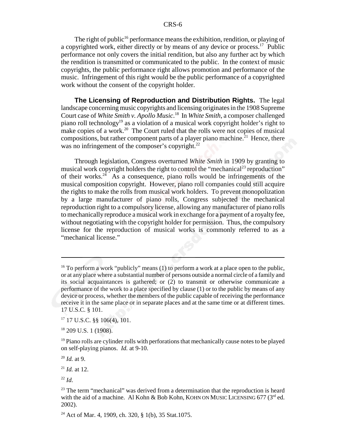The right of public<sup>16</sup> performance means the exhibition, rendition, or playing of a copyrighted work, either directly or by means of any device or process.17 Public performance not only covers the initial rendition, but also any further act by which the rendition is transmitted or communicated to the public. In the context of music copyrights, the public performance right allows promotion and performance of the music. Infringement of this right would be the public performance of a copyrighted work without the consent of the copyright holder.

**The Licensing of Reproduction and Distribution Rights.** The legal landscape concerning music copyrights and licensing originates in the 1908 Supreme Court case of *White Smith v. Apollo Music*. 18 In *White Smith*, a composer challenged piano roll technology19 as a violation of a musical work copyright holder's right to make copies of a work.<sup>20</sup> The Court ruled that the rolls were not copies of musical compositions, but rather component parts of a player piano machine.<sup>21</sup> Hence, there was no infringement of the composer's copyright. $^{22}$ 

Through legislation, Congress overturned *White Smith* in 1909 by granting to musical work copyright holders the right to control the "mechanical<sup>23</sup> reproduction" of their works.<sup>24</sup> As a consequence, piano rolls would be infringements of the musical composition copyright. However, piano roll companies could still acquire the rights to make the rolls from musical work holders. To prevent monopolization by a large manufacturer of piano rolls, Congress subjected the mechanical reproduction right to a compulsory license, allowing any manufacturer of piano rolls to mechanically reproduce a musical work in exchange for a payment of a royalty fee, without negotiating with the copyright holder for permission. Thus, the compulsory license for the reproduction of musical works is commonly referred to as a "mechanical license."

<sup>&</sup>lt;sup>16</sup> To perform a work "publicly" means (1) to perform a work at a place open to the public, or at any place where a substantial number of persons outside a normal circle of a family and its social acquaintances is gathered; or (2) to transmit or otherwise communicate a performance of the work to a place specified by clause (1) or to the public by means of any device or process, whether the members of the public capable of receiving the performance receive it in the same place or in separate places and at the same time or at different times. 17 U.S.C. § 101.

 $17$  17 U.S.C. §§ 106(4), 101.

<sup>18 209</sup> U.S. 1 (1908).

 $19$  Piano rolls are cylinder rolls with perforations that mechanically cause notes to be played on self-playing pianos. *Id.* at 9-10.

<sup>20</sup> *Id.* at 9.

<sup>21</sup> *Id.* at 12.

<sup>22</sup> *Id*.

 $23$  The term "mechanical" was derived from a determination that the reproduction is heard with the aid of a machine. Al Kohn & Bob Kohn, KOHN ON MUSIC LICENSING 677 ( $3<sup>rd</sup>$  ed. 2002).

<sup>24</sup> Act of Mar. 4, 1909, ch. 320, § 1(b), 35 Stat.1075.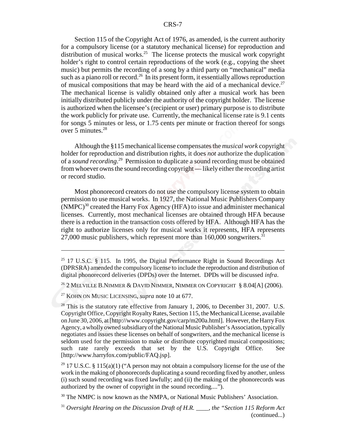Section 115 of the Copyright Act of 1976, as amended, is the current authority for a compulsory license (or a statutory mechanical license) for reproduction and distribution of musical works.<sup>25</sup> The license protects the musical work copyright holder's right to control certain reproductions of the work (e.g., copying the sheet music) but permits the recording of a song by a third party on "mechanical" media such as a piano roll or record.<sup>26</sup> In its present form, it essentially allows reproduction of musical compositions that may be heard with the aid of a mechanical device.<sup>27</sup> The mechanical license is validly obtained only after a musical work has been initially distributed publicly under the authority of the copyright holder. The license is authorized when the licensee's (recipient or user) primary purpose is to distribute the work publicly for private use. Currently, the mechanical license rate is 9.1 cents for songs 5 minutes or less, or 1.75 cents per minute or fraction thereof for songs over 5 minutes.28

Although the §115 mechanical license compensates the *musical work* copyright holder for reproduction and distribution rights, it does *not* authorize the duplication of a *sound recording*. 29 Permission to duplicate a sound recording must be obtained from whoever owns the sound recording copyright — likely either the recording artist or record studio.

Most phonorecord creators do not use the compulsory license system to obtain permission to use musical works. In 1927, the National Music Publishers Company  $(NMPC)^{30}$  created the Harry Fox Agency (HFA) to issue and administer mechanical licenses. Currently, most mechanical licenses are obtained through HFA because there is a reduction in the transaction costs offered by HFA. Although HFA has the right to authorize licenses only for musical works it represents, HFA represents 27,000 music publishers, which represent more than  $160,000$  songwriters.<sup>31</sup>

<sup>26</sup> 2 MELVILLE B.NIMMER & DAVID NIMMER, NIMMER ON COPYRIGHT  $\S 8.04[A]$  (2006).

27 KOHN ON MUSIC LICENSING, *supra* note 10 at 677.

 $28$  This is the statutory rate effective from January 1, 2006, to December 31, 2007. U.S. Copyright Office, Copyright Royalty Rates, Section 115, the Mechanical License, available on June 30, 2006, at [http://www.copyright.gov/carp/m200a.html]. However, the Harry Fox Agency, a wholly owned subsidiary of the National Music Publisher's Association, typically negotiates and issues these licenses on behalf of songwriters, and the mechanical license is seldom used for the permission to make or distribute copyrighted musical compositions; such rate rarely exceeds that set by the U.S. Copyright Office. See [http://www.harryfox.com/public/FAQ.jsp].

<sup>29</sup> 17 U.S.C. § 115(a)(1) ("A person may not obtain a compulsory license for the use of the work in the making of phonorecords duplicating a sound recording fixed by another, unless (i) such sound recording was fixed lawfully; and (ii) the making of the phonorecords was authorized by the owner of copyright in the sound recording....").

 $30$  The NMPC is now known as the NMPA, or National Music Publishers' Association.

<sup>31</sup> *Oversight Hearing on the Discussion Draft of H.R.*  $\ldots$ , the "Section 115 Reform Act (continued...)

<sup>&</sup>lt;sup>25</sup> 17 U.S.C. § 115. In 1995, the Digital Performance Right in Sound Recordings Act (DPRSRA) amended the compulsory license to include the reproduction and distribution of digital phonorecord deliveries (DPDs) over the Internet. DPDs will be discussed *infra*.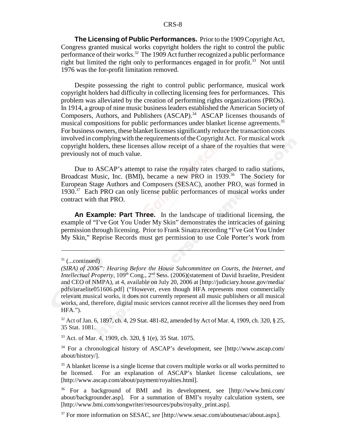**The Licensing of Public Performances.** Prior to the 1909 Copyright Act, Congress granted musical works copyright holders the right to control the public performance of their works.<sup>32</sup> The 1909 Act further recognized a public performance right but limited the right only to performances engaged in for profit.<sup>33</sup> Not until 1976 was the for-profit limitation removed.

Despite possessing the right to control public performance, musical work copyright holders had difficulty in collecting licensing fees for performances. This problem was alleviated by the creation of performing rights organizations (PROs). In 1914, a group of nine music business leaders established the American Society of Composers, Authors, and Publishers (ASCAP).<sup>34</sup> ASCAP licenses thousands of musical compositions for public performances under blanket license agreements.<sup>35</sup> For business owners, these blanket licenses significantly reduce the transaction costs involved in complying with the requirements of the Copyright Act. For musical work copyright holders, these licenses allow receipt of a share of the royalties that were previously not of much value.

Due to ASCAP's attempt to raise the royalty rates charged to radio stations, Broadcast Music, Inc. (BMI), became a new PRO in 1939.<sup>36</sup> The Society for European Stage Authors and Composers (SESAC), another PRO, was formed in 1930.<sup>37</sup> Each PRO can only license public performances of musical works under contract with that PRO.

**An Example: Part Three.** In the landscape of traditional licensing, the example of "I've Got You Under My Skin" demonstrates the intricacies of gaining permission through licensing. Prior to Frank Sinatra recording "I've Got You Under My Skin," Reprise Records must get permission to use Cole Porter's work from

32 Act of Jan. 6, 1897, ch. 4, 29 Stat. 481-82, amended by Act of Mar. 4, 1909, ch. 320, § 25, 35 Stat. 1081.

33 Act. of Mar. 4, 1909, ch. 320, § 1(e), 35 Stat. 1075.

34 For a chronological history of ASCAP's development, see [http://www.ascap.com/ about/history/].

<sup>35</sup> A blanket license is a single license that covers multiple works or all works permitted to be licensed. For an explanation of ASCAP's blanket license calculations, see [http://www.ascap.com/about/payment/royalties.html].

36 For a background of BMI and its development, see [http://www.bmi.com/ about/backgrounder.asp]. For a summation of BMI's royalty calculation system, see [http://www.bmi.com/songwriter/resources/pubs/royalty\_print.asp].

 $31$  (...continued)

*<sup>(</sup>SIRA) of 2006": Hearing Before the House Subcommittee on Courts, the Internet, and Intellectual Property*, 109<sup>th</sup> Cong., 2<sup>nd</sup> Sess. (2006)(statement of David Israelite, President and CEO of NMPA), at 4, available on July 20, 2006 at [http://judiciary.house.gov/media/ pdfs/israelite051606.pdf] ("However, even though HFA represents most commercially relevant musical works, it does not currently represent all music publishers or all musical works, and, therefore, digital music services cannot receive all the licenses they need from HFA.").

<sup>37</sup> For more information on SESAC, *see* [http://www.sesac.com/aboutsesac/about.aspx].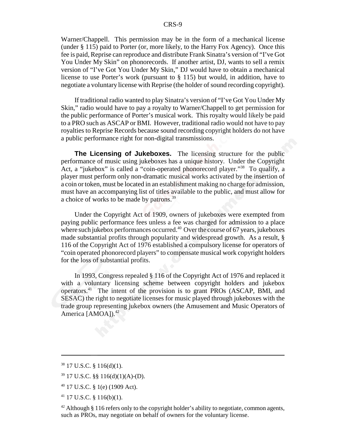Warner/Chappell. This permission may be in the form of a mechanical license (under § 115) paid to Porter (or, more likely, to the Harry Fox Agency). Once this fee is paid, Reprise can reproduce and distribute Frank Sinatra's version of "I've Got You Under My Skin" on phonorecords. If another artist, DJ, wants to sell a remix version of "I've Got You Under My Skin," DJ would have to obtain a mechanical license to use Porter's work (pursuant to § 115) but would, in addition, have to negotiate a voluntary license with Reprise (the holder of sound recording copyright).

If traditional radio wanted to play Sinatra's version of "I've Got You Under My Skin," radio would have to pay a royalty to Warner/Chappell to get permission for the public performance of Porter's musical work. This royalty would likely be paid to a PRO such as ASCAP or BMI. However, traditional radio would not have to pay royalties to Reprise Records because sound recording copyright holders do not have a public performance right for non-digital transmissions.

**The Licensing of Jukeboxes.** The licensing structure for the public performance of music using jukeboxes has a unique history. Under the Copyright Act, a "jukebox" is called a "coin-operated phonorecord player."<sup>38</sup> To qualify, a player must perform only non-dramatic musical works activated by the insertion of a coin or token, must be located in an establishment making no charge for admission, must have an accompanying list of titles available to the public, and must allow for a choice of works to be made by patrons.<sup>39</sup>

Under the Copyright Act of 1909, owners of jukeboxes were exempted from paying public performance fees unless a fee was charged for admission to a place where such jukebox performances occurred. $40$  Over the course of 67 years, jukeboxes made substantial profits through popularity and widespread growth. As a result, § 116 of the Copyright Act of 1976 established a compulsory license for operators of "coin operated phonorecord players" to compensate musical work copyright holders for the loss of substantial profits.

In 1993, Congress repealed § 116 of the Copyright Act of 1976 and replaced it with a voluntary licensing scheme between copyright holders and jukebox operators.41 The intent of the provision is to grant PROs (ASCAP, BMI, and SESAC) the right to negotiate licenses for music played through jukeboxes with the trade group representing jukebox owners (the Amusement and Music Operators of America [AMOA]).<sup>42</sup>

 $38$  17 U.S.C. § 116(d)(1).

 $39$  17 U.S.C. §§ 116(d)(1)(A)-(D).

 $40$  17 U.S.C. § 1(e) (1909 Act).

<sup>41 17</sup> U.S.C. § 116(b)(1).

 $42$  Although § 116 refers only to the copyright holder's ability to negotiate, common agents, such as PROs, may negotiate on behalf of owners for the voluntary license.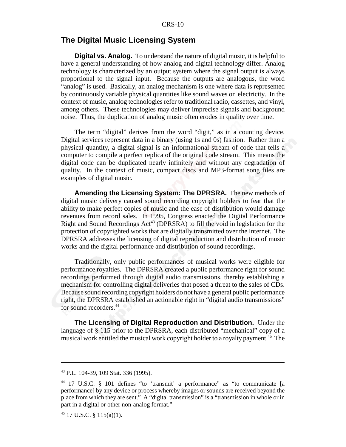#### **The Digital Music Licensing System**

**Digital vs. Analog.** To understand the nature of digital music, it is helpful to have a general understanding of how analog and digital technology differ. Analog technology is characterized by an output system where the signal output is always proportional to the signal input. Because the outputs are analogous, the word "analog" is used. Basically, an analog mechanism is one where data is represented by continuously variable physical quantities like sound waves or electricity. In the context of music, analog technologies refer to traditional radio, cassettes, and vinyl, among others. These technologies may deliver imprecise signals and background noise. Thus, the duplication of analog music often erodes in quality over time.

The term "digital" derives from the word "digit," as in a counting device. Digital services represent data in a binary (using 1s and 0s) fashion. Rather than a physical quantity, a digital signal is an informational stream of code that tells a computer to compile a perfect replica of the original code stream. This means the digital code can be duplicated nearly infinitely and without any degradation of quality. In the context of music, compact discs and MP3-format song files are examples of digital music.

**Amending the Licensing System: The DPRSRA.** The new methods of digital music delivery caused sound recording copyright holders to fear that the ability to make perfect copies of music and the ease of distribution would damage revenues from record sales. In 1995, Congress enacted the Digital Performance Right and Sound Recordings  $Act^{43}$  (DPRSRA) to fill the void in legislation for the protection of copyrighted works that are digitally transmitted over the Internet. The DPRSRA addresses the licensing of digital reproduction and distribution of music works and the digital performance and distribution of sound recordings.

Traditionally, only public performances of musical works were eligible for performance royalties. The DPRSRA created a public performance right for sound recordings performed through digital audio transmissions, thereby establishing a mechanism for controlling digital deliveries that posed a threat to the sales of CDs. Because sound recording copyright holders do not have a general public performance right, the DPRSRA established an actionable right in "digital audio transmissions" for sound recorders.<sup>44</sup>

**The Licensing of Digital Reproduction and Distribution.** Under the language of § 115 prior to the DPRSRA, each distributed "mechanical" copy of a musical work entitled the musical work copyright holder to a royalty payment.<sup>45</sup> The

<sup>43</sup> P.L. 104-39, 109 Stat. 336 (1995).

<sup>44 17</sup> U.S.C. § 101 defines "to 'transmit' a performance" as "to communicate [a performance] by any device or process whereby images or sounds are received beyond the place from which they are sent." A "digital transmission" is a "transmission in whole or in part in a digital or other non-analog format."

 $45$  17 U.S.C. § 115(a)(1).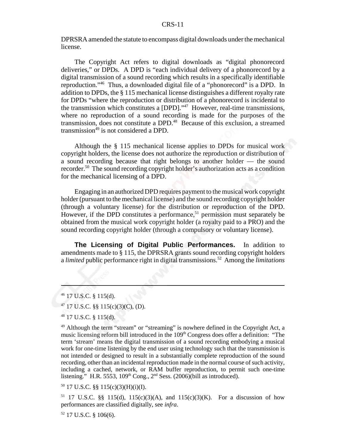DPRSRA amended the statute to encompass digital downloads under the mechanical license.

The Copyright Act refers to digital downloads as "digital phonorecord deliveries," or DPDs. A DPD is "each individual delivery of a phonorecord by a digital transmission of a sound recording which results in a specifically identifiable reproduction."46 Thus, a downloaded digital file of a "phonorecord" is a DPD. In addition to DPDs, the § 115 mechanical license distinguishes a different royalty rate for DPDs "where the reproduction or distribution of a phonorecord is incidental to the transmission which constitutes a [DPD]."47 However, real-time transmissions, where no reproduction of a sound recording is made for the purposes of the transmission, does not constitute a DPD.48 Because of this exclusion, a streamed transmission<sup>49</sup> is not considered a DPD.

Although the § 115 mechanical license applies to DPDs for musical work copyright holders, the license does not authorize the reproduction or distribution of a sound recording because that right belongs to another holder — the sound recorder.50 The sound recording copyright holder's authorization acts as a condition for the mechanical licensing of a DPD.

Engaging in an authorized DPD requires payment to the musical work copyright holder (pursuant to the mechanical license) and the sound recording copyright holder (through a voluntary license) for the distribution or reproduction of the DPD. However, if the DPD constitutes a performance,<sup>51</sup> permission must separately be obtained from the musical work copyright holder (a royalty paid to a PRO) and the sound recording copyright holder (through a compulsory or voluntary license).

**The Licensing of Digital Public Performances.** In addition to amendments made to § 115, the DPRSRA grants sound recording copyright holders a *limited* public performance right in digital transmissions.52 Among the *limitations*

50 17 U.S.C. §§ 115(c)(3)(H)(i)(I).

<sup>51</sup> 17 U.S.C. §§ 115(d), 115(c)(3)(A), and 115(c)(3)(K). For a discussion of how performances are classified digitally, see *infra*.

 $52$  17 U.S.C. § 106(6).

<sup>46 17</sup> U.S.C. § 115(d).

<sup>47 17</sup> U.S.C. §§ 115(c)(3)(C), (D).

<sup>48 17</sup> U.S.C. § 115(d).

<sup>&</sup>lt;sup>49</sup> Although the term "stream" or "streaming" is nowhere defined in the Copyright Act, a music licensing reform bill introduced in the 109<sup>th</sup> Congress does offer a definition: "The term 'stream' means the digital transmission of a sound recording embodying a musical work for one-time listening by the end user using technology such that the transmission is not intended or designed to result in a substantially complete reproduction of the sound recording, other than an incidental reproduction made in the normal course of such activity, including a cached, network, or RAM buffer reproduction, to permit such one-time listening." H.R. 5553,  $109<sup>th</sup>$  Cong.,  $2<sup>nd</sup>$  Sess. (2006)(bill as introduced).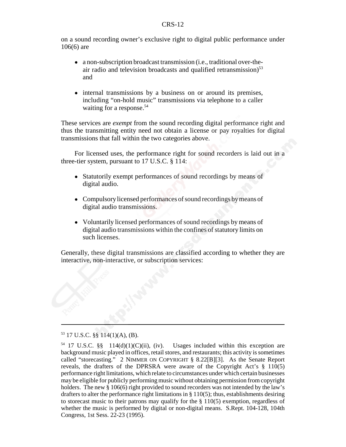on a sound recording owner's exclusive right to digital public performance under 106(6) are

- ! a non-subscription broadcast transmission (i.e., traditional over-theair radio and television broadcasts and qualified retransmission) $53$ and
- internal transmissions by a business on or around its premises, including "on-hold music" transmissions via telephone to a caller waiting for a response.<sup>54</sup>

These services are *exempt* from the sound recording digital performance right and thus the transmitting entity need not obtain a license or pay royalties for digital transmissions that fall within the two categories above.

For licensed uses, the performance right for sound recorders is laid out in a three-tier system, pursuant to 17 U.S.C. § 114:

- ! Statutorily exempt performances of sound recordings by means of digital audio.
- Compulsory licensed performances of sound recordings by means of digital audio transmissions.
- ! Voluntarily licensed performances of sound recordings by means of digital audio transmissions within the confines of statutory limits on such licenses.

Generally, these digital transmissions are classified according to whether they are interactive, non-interactive, or subscription services:

#### 53 17 U.S.C. §§ 114(1)(A), (B).

<sup>&</sup>lt;sup>54</sup> 17 U.S.C. §§ 114(d)(1)(C)(ii), (iv). Usages included within this exception are background music played in offices, retail stores, and restaurants; this activity is sometimes called "storecasting." 2 NIMMER ON COPYRIGHT § 8.22[B][3]. As the Senate Report reveals, the drafters of the DPRSRA were aware of the Copyright Act's § 110(5) performance right limitations, which relate to circumstances under which certain businesses may be eligible for publicly performing music without obtaining permission from copyright holders. The new § 106(6) right provided to sound recorders was not intended by the law's drafters to alter the performance right limitations in § 110(5); thus, establishments desiring to storecast music to their patrons may qualify for the  $\S$  110(5) exemption, regardless of whether the music is performed by digital or non-digital means. S.Rept. 104-128, 104th Congress, 1st Sess. 22-23 (1995).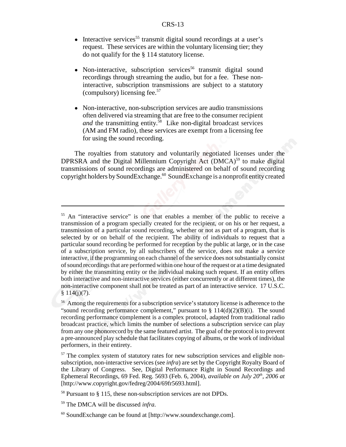- $\bullet$  Interactive services<sup>55</sup> transmit digital sound recordings at a user's request. These services are within the voluntary licensing tier; they do not qualify for the § 114 statutory license.
- $\bullet$  Non-interactive, subscription services<sup>56</sup> transmit digital sound recordings through streaming the audio, but for a fee. These noninteractive, subscription transmissions are subject to a statutory (compulsory) licensing fee.57
- ! Non-interactive, non-subscription services are audio transmissions often delivered via streaming that are free to the consumer recipient *and* the transmitting entity.<sup>58</sup> Like non-digital broadcast services (AM and FM radio), these services are exempt from a licensing fee for using the sound recording.

The royalties from statutory and voluntarily negotiated licenses under the DPRSRA and the Digital Millennium Copyright Act  $(DMCA)^{59}$  to make digital transmissions of sound recordings are administered on behalf of sound recording copyright holders by SoundExchange.60 SoundExchange is a nonprofit entity created

<sup>&</sup>lt;sup>55</sup> An "interactive service" is one that enables a member of the public to receive a transmission of a program specially created for the recipient, or on his or her request, a transmission of a particular sound recording, whether or not as part of a program, that is selected by or on behalf of the recipient. The ability of individuals to request that a particular sound recording be performed for reception by the public at large, or in the case of a subscription service, by all subscribers of the service, does not make a service interactive, if the programming on each channel of the service does not substantially consist of sound recordings that are performed within one hour of the request or at a time designated by either the transmitting entity or the individual making such request. If an entity offers both interactive and non-interactive services (either concurrently or at different times), the non-interactive component shall not be treated as part of an interactive service. 17 U.S.C.  $§ 114(i)(7).$ 

<sup>&</sup>lt;sup>56</sup> Among the requirements for a subscription service's statutory license is adherence to the "sound recording performance complement," pursuant to  $\S 114(d)(2)(B)(i)$ . The sound recording performance complement is a complex protocol, adapted from traditional radio broadcast practice, which limits the number of selections a subscription service can play from any one phonorecord by the same featured artist. The goal of the protocol is to prevent a pre-announced play schedule that facilitates copying of albums, or the work of individual performers, in their entirety.

<sup>&</sup>lt;sup>57</sup> The complex system of statutory rates for new subscription services and eligible nonsubscription, non-interactive services (see *infra*) are set by the Copyright Royalty Board of the Library of Congress. See, Digital Performance Right in Sound Recordings and Ephemeral Recordings, 69 Fed. Reg. 5693 (Feb. 6, 2004), *available on July 20th, 2006 at* [http://www.copyright.gov/fedreg/2004/69fr5693.html].

<sup>58</sup> Pursuant to § 115, these non-subscription services are not DPDs.

<sup>59</sup> The DMCA will be discussed *infra*.

<sup>60</sup> SoundExchange can be found at [http://www.soundexchange.com].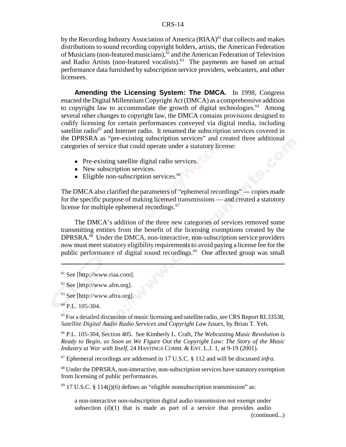by the Recording Industry Association of America  $(RIAA)^{61}$  that collects and makes distributions to sound recording copyright holders, artists, the American Federation of Musicians (non-featured musicians), $\delta^2$  and the American Federation of Television and Radio Artists (non-featured vocalists).<sup>63</sup> The payments are based on actual performance data furnished by subscription service providers, webcasters, and other licensees.

**Amending the Licensing System: The DMCA.** In 1998, Congress enacted the Digital Millennium Copyright Act (DMCA) as a comprehensive addition to copyright law to accommodate the growth of digital technologies.<sup>64</sup> Among several other changes to copyright law, the DMCA contains provisions designed to codify licensing for certain performances conveyed via digital media, including satellite radio<sup>65</sup> and Internet radio. It renamed the subscription services covered in the DPRSRA as "pre-existing subscription services" and created three additional categories of service that could operate under a statutory license:

- Pre-existing satellite digital radio services.
- New subscription services.
- Eligible non-subscription services.<sup>66</sup>

The DMCA also clarified the parameters of "ephemeral recordings" — copies made for the specific purpose of making licensed transmissions — and created a statutory license for multiple ephemeral recordings.<sup>67</sup>

The DMCA's addition of the three new categories of services removed some transmitting entities from the benefit of the licensing exemptions created by the DPRSRA.<sup>68</sup> Under the DMCA, non-interactive, non-subscription service providers now must meet statutory eligibility requirements to avoid paying a license fee for the public performance of digital sound recordings.<sup>69</sup> One affected group was small

61 See [http://www.riaa.com].

63 See [http://www.aftra.org].

 $64$  P.L. 105-304

<sup>65</sup> For a detailed discussion of music licensing and satellite radio, see CRS Report RL33538, *Satellite Digital Audio Radio Services and Copyright Law Issues*, by Brian T. Yeh.

66 P.L. 105-304, Section 405. See Kimberly L. Craft, *The Webcasting Music Revolution is Ready to Begin, as Soon as We Figure Out the Copyright Law: The Story of the Music Industry at War with Itself*, 24 HASTINGS COMM. & ENT. L.J. 1, at 9-19 (2001).

67 Ephemeral recordings are addressed in 17 U.S.C. § 112 and will be discussed *infra*.

<sup>68</sup> Under the DPRSRA, non-interactive, non-subscription services have statutory exemption from licensing of public performances.

 $69$  17 U.S.C. § 114(j)(6) defines an "eligible nonsubscription transmission" as:

a non-interactive non-subscription digital audio transmission not exempt under subsection  $(d)(1)$  that is made as part of a service that provides audio

(continued...)

<sup>62</sup> See [http://www.afm.org].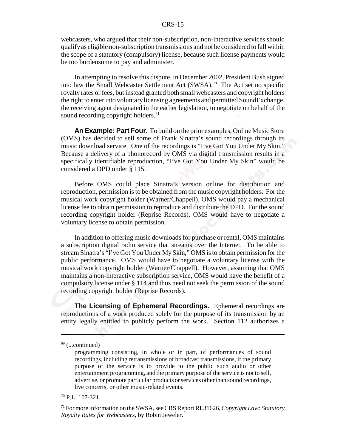webcasters, who argued that their non-subscription, non-interactive services should qualify as eligible non-subscription transmissions and not be considered to fall within the scope of a statutory (compulsory) license, because such license payments would be too burdensome to pay and administer.

In attempting to resolve this dispute, in December 2002, President Bush signed into law the Small Webcaster Settlement Act (SWSA).<sup>70</sup> The Act set no specific royalty rates or fees, but instead granted both small webcasters and copyright holders the right to enter into voluntary licensing agreements and permitted SoundExchange, the receiving agent designated in the earlier legislation, to negotiate on behalf of the sound recording copyright holders.<sup>71</sup>

**An Example: Part Four.** To build on the prior examples, Online Music Store (OMS) has decided to sell some of Frank Sinatra's sound recordings through its music download service. One of the recordings is "I've Got You Under My Skin." Because a delivery of a phonorecord by OMS via digital transmission results in a specifically identifiable reproduction, "I've Got You Under My Skin" would be considered a DPD under § 115.

Before OMS could place Sinatra's version online for distribution and reproduction, permission is to be obtained from the music copyright holders. For the musical work copyright holder (Warner/Chappell), OMS would pay a mechanical license fee to obtain permission to reproduce and distribute the DPD. For the sound recording copyright holder (Reprise Records), OMS would have to negotiate a voluntary license to obtain permission.

In addition to offering music downloads for purchase or rental, OMS maintains a subscription digital radio service that streams over the Internet. To be able to stream Sinatra's "I've Got You Under My Skin," OMS is to obtain permission for the public performance. OMS would have to negotiate a voluntary license with the musical work copyright holder (Warner/Chappell). However, assuming that OMS maintains a non-interactive subscription service, OMS would have the benefit of a compulsory license under § 114 and thus need not seek the permission of the sound recording copyright holder (Reprise Records).

**The Licensing of Ephemeral Recordings.** Ephemeral recordings are reproductions of a work produced solely for the purpose of its transmission by an entity legally entitled to publicly perform the work. Section 112 authorizes a

 $69$  (...continued)

programming consisting, in whole or in part, of performances of sound recordings, including retransmissions of broadcast transmissions, if the primary purpose of the service is to provide to the public such audio or other entertainment programming, and the primary purpose of the service is not to sell, advertise, or promote particular products or services other than sound recordings, live concerts, or other music-related events.

<sup>70</sup> P.L. 107-321.

<sup>71</sup> For more information on the SWSA, see CRS Report RL31626, *Copyright Law: Statutory Royalty Rates for Webcasters*, by Robin Jeweler.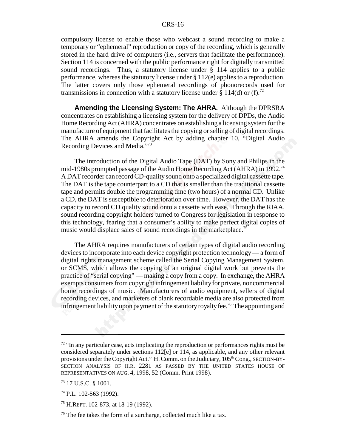compulsory license to enable those who webcast a sound recording to make a temporary or "ephemeral" reproduction or copy of the recording, which is generally stored in the hard drive of computers (i.e., servers that facilitate the performance). Section 114 is concerned with the public performance right for digitally transmitted sound recordings. Thus, a statutory license under § 114 applies to a public performance, whereas the statutory license under § 112(e) applies to a reproduction. The latter covers only those ephemeral recordings of phonorecords used for transmissions in connection with a statutory license under § 114(d) or (f).<sup>72</sup>

**Amending the Licensing System: The AHRA.** Although the DPRSRA concentrates on establishing a licensing system for the delivery of DPDs, the Audio Home Recording Act (AHRA) concentrates on establishing a licensing system for the manufacture of equipment that facilitates the copying or selling of digital recordings. The AHRA amends the Copyright Act by adding chapter 10, "Digital Audio Recording Devices and Media."73

The introduction of the Digital Audio Tape (DAT) by Sony and Philips in the mid-1980s prompted passage of the Audio Home Recording Act (AHRA) in 1992.74 A DAT recorder can record CD-quality sound onto a specialized digital cassette tape. The DAT is the tape counterpart to a CD that is smaller than the traditional cassette tape and permits double the programming time (two hours) of a normal CD. Unlike a CD, the DAT is susceptible to deterioration over time. However, the DAT has the capacity to record CD quality sound onto a cassette with ease. Through the RIAA, sound recording copyright holders turned to Congress for legislation in response to this technology, fearing that a consumer's ability to make perfect digital copies of music would displace sales of sound recordings in the marketplace.<sup>75</sup>

The AHRA requires manufacturers of certain types of digital audio recording devices to incorporate into each device copyright protection technology — a form of digital rights management scheme called the Serial Copying Management System, or SCMS, which allows the copying of an original digital work but prevents the practice of "serial copying" — making a copy from a copy. In exchange, the AHRA exempts consumers from copyright infringement liability for private, noncommercial home recordings of music. Manufacturers of audio equipment, sellers of digital recording devices, and marketers of blank recordable media are also protected from infringement liability upon payment of the statutory royalty fee.<sup>76</sup> The appointing and

 $72$  "In any particular case, acts implicating the reproduction or performances rights must be considered separately under sections 112[e] or 114, as applicable, and any other relevant provisions under the Copyright Act." H. Comm. on the Judiciary,  $105<sup>th</sup>$  Cong., SECTION-BY-SECTION ANALYSIS OF H.R. 2281 AS PASSED BY THE UNITED STATES HOUSE OF REPRESENTATIVES ON AUG. 4, 1998, 52 (Comm. Print 1998).

<sup>73 17</sup> U.S.C. § 1001.

 $74$  P.L. 102-563 (1992).

<sup>75</sup> H.REPT. 102-873, at 18-19 (1992).

 $76$  The fee takes the form of a surcharge, collected much like a tax.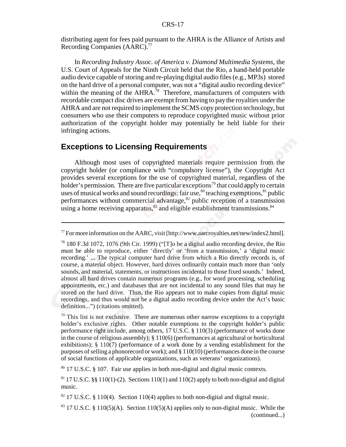distributing agent for fees paid pursuant to the AHRA is the Alliance of Artists and Recording Companies (AARC).<sup>77</sup>

In *Recording Industry Assoc. of America v. Diamond Multimedia Systems*, the U.S. Court of Appeals for the Ninth Circuit held that the Rio, a hand-held portable audio device capable of storing and re-playing digital audio files (e.g., MP3s) stored on the hard drive of a personal computer, was not a "digital audio recording device" within the meaning of the AHRA.<sup>78</sup> Therefore, manufacturers of computers with recordable compact disc drives are exempt from having to pay the royalties under the AHRA and are not required to implement the SCMS copy protection technology, but consumers who use their computers to reproduce copyrighted music without prior authorization of the copyright holder may potentially be held liable for their infringing actions.

#### **Exceptions to Licensing Requirements**

Although most uses of copyrighted materials require permission from the copyright holder (or compliance with "compulsory license"), the Copyright Act provides several exceptions for the use of copyrighted material, regardless of the holder's permission. There are five particular exceptions<sup>79</sup> that could apply to certain uses of musical works and sound recordings: fair use,  $\frac{80}{3}$  teaching exemptions,  $\frac{81}{3}$  public performances without commercial advantage, $82$  public reception of a transmission using a home receiving apparatus, $83$  and eligible establishment transmissions. $84$ 

80 17 U.S.C. § 107. Fair use applies in both non-digital and digital music contexts.

 $^{77}$  For more information on the AARC, visit [http://www.aarcroyalties.net/new/index2.html].

<sup>78 180</sup> F.3d 1072, 1076 (9th Cir. 1999) ("[T]o be a digital audio recording device, the Rio must be able to reproduce, either 'directly' or 'from a transmission,' a 'digital music recording.' ... The typical computer hard drive from which a Rio directly records is, of course, a material object. However, hard drives ordinarily contain much more than 'only sounds, and material, statements, or instructions incidental to those fixed sounds.' Indeed, almost all hard drives contain numerous programs (e.g., for word processing, scheduling appointments, etc.) and databases that are not incidental to any sound files that may be stored on the hard drive. Thus, the Rio appears not to make copies from digital music recordings, and thus would not be a digital audio recording device under the Act's basic definition...") (citations omitted).

 $79$  This list is not exclusive. There are numerous other narrow exceptions to a copyright holder's exclusive rights. Other notable exemptions to the copyright holder's public performance right include, among others, 17 U.S.C. § 110(3) (performance of works done in the course of religious assembly);  $\S 110(6)$  (performances at agricultural or horticultural exhibitions); § 110(7) (performance of a work done by a vending establishment for the purposes of selling a phonorecord or work); and  $\S 110(10)$  (performances done in the course of social functions of applicable organizations, such as veterans' organizations).

<sup>&</sup>lt;sup>81</sup> 17 U.S.C. §§ 110(1)-(2). Sections 110(1) and 110(2) apply to both non-digital and digital music.

 $82$  17 U.S.C. § 110(4). Section 110(4) applies to both non-digital and digital music.

<sup>&</sup>lt;sup>83</sup> 17 U.S.C. § 110(5)(A). Section 110(5)(A) applies only to non-digital music. While the (continued...)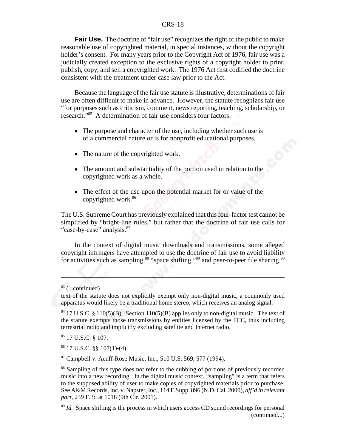**Fair Use.** The doctrine of "fair use" recognizes the right of the public to make reasonable use of copyrighted material, in special instances, without the copyright holder's consent. For many years prior to the Copyright Act of 1976, fair use was a judicially created exception to the exclusive rights of a copyright holder to print, publish, copy, and sell a copyrighted work. The 1976 Act first codified the doctrine consistent with the treatment under case law prior to the Act.

Because the language of the fair use statute is illustrative, determinations of fair use are often difficult to make in advance. However, the statute recognizes fair use "for purposes such as criticism, comment, news reporting, teaching, scholarship, or research."85 A determination of fair use considers four factors:

- The purpose and character of the use, including whether such use is of a commercial nature or is for nonprofit educational purposes.
- The nature of the copyrighted work.
- The amount and substantiality of the portion used in relation to the copyrighted work as a whole.
- The effect of the use upon the potential market for or value of the copyrighted work.86

The U.S. Supreme Court has previously explained that this four-factor test cannot be simplified by "bright-line rules," but rather that the doctrine of fair use calls for "case-by-case" analysis.<sup>87</sup>

In the context of digital music downloads and transmissions, some alleged copyright infringers have attempted to use the doctrine of fair use to avoid liability for activities such as sampling,  $\dot{8}$  "space shifting,"<sup>89</sup> and peer-to-peer file sharing.<sup>90</sup>

 $83$  (...continued)

text of the statute does not explicitly exempt only non-digital music, a commonly used apparatus would likely be a traditional home stereo, which receives an analog signal.

 $84$  17 U.S.C. § 110(5)(B). Section 110(5)(B) applies only to non-digital music. The text of the statute exempts those transmissions by entities licensed by the FCC, thus including terrestrial radio and implicitly excluding satellite and Internet radio.

<sup>85 17</sup> U.S.C. § 107.

<sup>86 17</sup> U.S.C. §§ 107(1)-(4).

<sup>87</sup> Campbell v. Acuff-Rose Music, Inc., 510 U.S. 569, 577 (1994).

<sup>&</sup>lt;sup>88</sup> Sampling of this type does not refer to the dubbing of portions of previously recorded music into a new recording. In the digital music context, "sampling" is a term that refers to the supposed ability of user to make copies of copyrighted materials prior to purchase. See A&M Records, Inc. v. Napster, Inc., 114 F.Supp. 896 (N.D. Cal. 2000), *aff'd in relevant part*, 239 F.3d at 1018 (9th Cir. 2001).

<sup>&</sup>lt;sup>89</sup> *Id.* Space shifting is the process in which users access CD sound recordings for personal (continued...)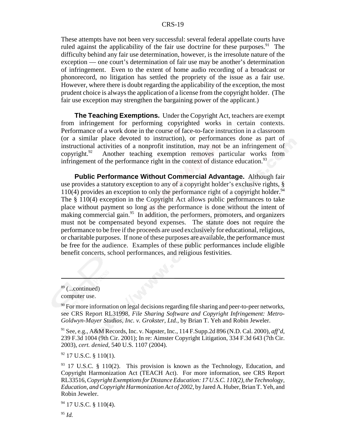These attempts have not been very successful: several federal appellate courts have ruled against the applicability of the fair use doctrine for these purposes.<sup>91</sup> The difficulty behind any fair use determination, however, is the irresolute nature of the exception — one court's determination of fair use may be another's determination of infringement. Even to the extent of home audio recording of a broadcast or phonorecord, no litigation has settled the propriety of the issue as a fair use. However, where there is doubt regarding the applicability of the exception, the most prudent choice is always the application of a license from the copyright holder. (The fair use exception may strengthen the bargaining power of the applicant.)

**The Teaching Exemptions.** Under the Copyright Act, teachers are exempt from infringement for performing copyrighted works in certain contexts. Performance of a work done in the course of face-to-face instruction in a classroom (or a similar place devoted to instruction), or performances done as part of instructional activities of a nonprofit institution, may not be an infringement of copyright.92 Another teaching exemption removes particular works from infringement of the performance right in the context of distance education.<sup>93</sup>

**Public Performance Without Commercial Advantage.** Although fair use provides a statutory exception to any of a copyright holder's exclusive rights, §  $110(4)$  provides an exception to only the performance right of a copyright holder.<sup>94</sup> The § 110(4) exception in the Copyright Act allows public performances to take place without payment so long as the performance is done without the intent of making commercial gain.<sup>95</sup> In addition, the performers, promoters, and organizers must not be compensated beyond expenses. The statute does not require the performance to be free if the proceeds are used exclusively for educational, religious, or charitable purposes. If none of these purposes are available, the performance must be free for the audience. Examples of these public performances include eligible benefit concerts, school performances, and religious festivities.

91 See, e.g., A&M Records, Inc. v. Napster, Inc., 114 F.Supp.2d 896 (N.D. Cal. 2000), *aff'd*, 239 F.3d 1004 (9th Cir. 2001); In re: Aimster Copyright Litigation, 334 F.3d 643 (7th Cir. 2003), *cert. denied,* 540 U.S. 1107 (2004).

 $92$  17 U.S.C. § 110(1).

 $89$  (...continued)

computer use.

 $90$  For more information on legal decisions regarding file sharing and peer-to-peer networks, see CRS Report RL31998, *File Sharing Software and Copyright Infringement: Metro-Goldwyn-Mayer Studios, Inc. v. Grokster, Ltd.*, by Brian T. Yeh and Robin Jeweler.

 $93$  17 U.S.C. § 110(2). This provision is known as the Technology, Education, and Copyright Harmonization Act (TEACH Act). For more information, see CRS Report RL33516, *Copyright Exemptions for Distance Education: 17 U.S.C. 110(2), the Technology, Education, and Copyright Harmonization Act of 2002*, by Jared A. Huber, Brian T. Yeh, and Robin Jeweler.

 $94$  17 U.S.C. § 110(4).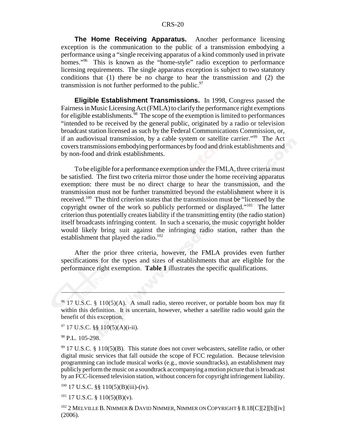**The Home Receiving Apparatus.** Another performance licensing exception is the communication to the public of a transmission embodying a performance using a "single receiving apparatus of a kind commonly used in private homes."<sup>96</sup> This is known as the "home-style" radio exception to performance licensing requirements. The single apparatus exception is subject to two statutory conditions that (1) there be no charge to hear the transmission and (2) the transmission is not further performed to the public. $97$ 

**Eligible Establishment Transmissions.** In 1998, Congress passed the Fairness in Music Licensing Act (FMLA) to clarify the performance right exemptions for eligible establishments.<sup>98</sup> The scope of the exemption is limited to performances "intended to be received by the general public, originated by a radio or television broadcast station licensed as such by the Federal Communications Commission, or, if an audiovisual transmission, by a cable system or satellite carrier."<sup>99</sup> The Act covers transmissions embodying performances by food and drink establishments and by non-food and drink establishments.

To be eligible for a performance exemption under the FMLA, three criteria must be satisfied. The first two criteria mirror those under the home receiving apparatus exemption: there must be no direct charge to hear the transmission, and the transmission must not be further transmitted beyond the establishment where it is received.<sup>100</sup> The third criterion states that the transmission must be "licensed by the copyright owner of the work so publicly performed or displayed."101 The latter criterion thus potentially creates liability if the transmitting entity (the radio station) itself broadcasts infringing content. In such a scenario, the music copyright holder would likely bring suit against the infringing radio station, rather than the establishment that played the radio.<sup>102</sup>

After the prior three criteria, however, the FMLA provides even further specifications for the types and sizes of establishments that are eligible for the performance right exemption. **Table 1** illustrates the specific qualifications.

 $100$  17 U.S.C. §§ 110(5)(B)(iii)-(iv).

 $101$  17 U.S.C. § 110(5)(B)(v).

 $102$  2 MELVILLE B. NIMMER & DAVID NIMMER, NIMMER ON COPYRIGHT § 8.18[C][2][b][iv] (2006).

 $96$  17 U.S.C. § 110(5)(A). A small radio, stereo receiver, or portable boom box may fit within this definition. It is uncertain, however, whether a satellite radio would gain the benefit of this exception.

 $97$  17 U.S.C. §§ 110(5)(A)(i-ii).

<sup>98</sup> P.L. 105-298.

 $99$  17 U.S.C. § 110(5)(B). This statute does not cover webcasters, satellite radio, or other digital music services that fall outside the scope of FCC regulation. Because television programming can include musical works (e.g., movie soundtracks), an establishment may publicly perform the music on a soundtrack accompanying a motion picture that is broadcast by an FCC-licensed television station, without concern for copyright infringement liability.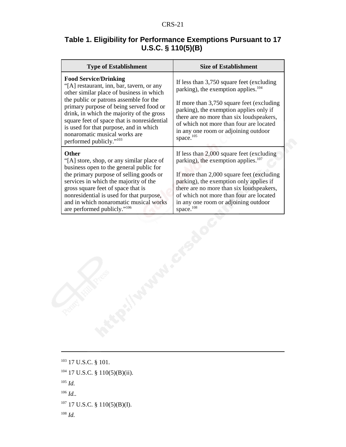#### **Table 1. Eligibility for Performance Exemptions Pursuant to 17 U.S.C. § 110(5)(B)**

| <b>Type of Establishment</b>                                                                                                                                                                                                                                                                                                                                                                                             | <b>Size of Establishment</b>                                                                                                                                                                                                                                                                                                         |  |  |
|--------------------------------------------------------------------------------------------------------------------------------------------------------------------------------------------------------------------------------------------------------------------------------------------------------------------------------------------------------------------------------------------------------------------------|--------------------------------------------------------------------------------------------------------------------------------------------------------------------------------------------------------------------------------------------------------------------------------------------------------------------------------------|--|--|
| <b>Food Service/Drinking</b><br>"[A] restaurant, inn, bar, tavern, or any<br>other similar place of business in which<br>the public or patrons assemble for the<br>primary purpose of being served food or<br>drink, in which the majority of the gross<br>square feet of space that is nonresidential<br>is used for that purpose, and in which<br>nonaromatic musical works are<br>performed publicly." <sup>103</sup> | If less than 3,750 square feet (excluding<br>parking), the exemption applies. <sup>104</sup><br>If more than 3,750 square feet (excluding<br>parking), the exemption applies only if<br>there are no more than six loudspeakers,<br>of which not more than four are located<br>in any one room or adjoining outdoor<br>space. $105$  |  |  |
| Other<br>"[A] store, shop, or any similar place of<br>business open to the general public for<br>the primary purpose of selling goods or<br>services in which the majority of the<br>gross square feet of space that is<br>nonresidential is used for that purpose,<br>and in which nonaromatic musical works<br>are performed publicly." <sup>106</sup>                                                                 | If less than 2,000 square feet (excluding)<br>parking), the exemption applies. <sup>107</sup><br>If more than 2,000 square feet (excluding<br>parking), the exemption only applies if<br>there are no more than six loudspeakers,<br>of which not more than four are located<br>in any one room or adjoining outdoor<br>space. $108$ |  |  |

<sup>103</sup> 17 U.S.C. § 101.

 $104$  17 U.S.C. § 110(5)(B)(ii).

- <sup>105</sup> *Id.*
- <sup>106</sup> *Id..*

 $107$  17 U.S.C. § 110(5)(B)(I).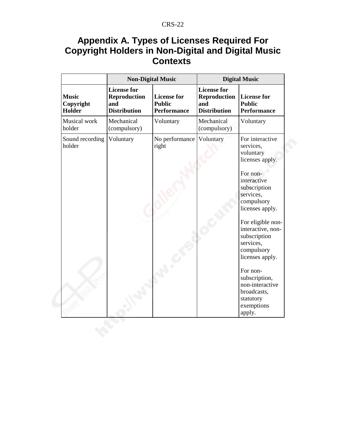## **Appendix A. Types of Licenses Required For Copyright Holders in Non-Digital and Digital Music Contexts**

|                                            | <b>Non-Digital Music</b>                                                |                                                           | <b>Digital Music</b>                                                    |                                                                                                                                                                                                                                                                                                                                                                   |
|--------------------------------------------|-------------------------------------------------------------------------|-----------------------------------------------------------|-------------------------------------------------------------------------|-------------------------------------------------------------------------------------------------------------------------------------------------------------------------------------------------------------------------------------------------------------------------------------------------------------------------------------------------------------------|
| <b>Music</b><br>Copyright<br><b>Holder</b> | <b>License for</b><br><b>Reproduction</b><br>and<br><b>Distribution</b> | <b>License for</b><br><b>Public</b><br><b>Performance</b> | <b>License for</b><br><b>Reproduction</b><br>and<br><b>Distribution</b> | <b>License for</b><br><b>Public</b><br><b>Performance</b>                                                                                                                                                                                                                                                                                                         |
| Musical work<br>holder                     | Mechanical<br>(compulsory)                                              | Voluntary                                                 | Mechanical<br>(compulsory)                                              | Voluntary                                                                                                                                                                                                                                                                                                                                                         |
| Sound recording<br>holder                  | Voluntary                                                               | No performance<br>right                                   | Voluntary                                                               | For interactive<br>services,<br>voluntary<br>licenses apply.<br>For non-<br>interactive<br>subscription<br>services,<br>compulsory<br>licenses apply.<br>For eligible non-<br>interactive, non-<br>subscription<br>services,<br>compulsory<br>licenses apply.<br>For non-<br>subscription,<br>non-interactive<br>broadcasts,<br>statutory<br>exemptions<br>apply. |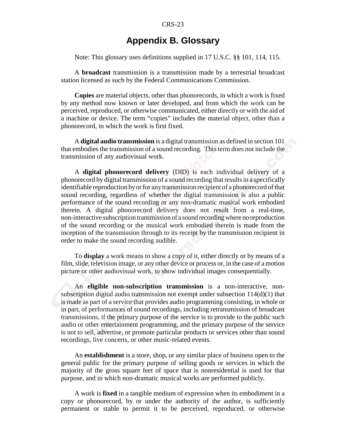#### **Appendix B. Glossary**

Note: This glossary uses definitions supplied in 17 U.S.C. §§ 101, 114, 115.

A **broadcast** transmission is a transmission made by a terrestrial broadcast station licensed as such by the Federal Communications Commission.

**Copies** are material objects, other than phonorecords, in which a work is fixed by any method now known or later developed, and from which the work can be perceived, reproduced, or otherwise communicated, either directly or with the aid of a machine or device. The term "copies" includes the material object, other than a phonorecord, in which the work is first fixed.

A **digital audio transmission** is a digital transmission as defined in section 101 that embodies the transmission of a sound recording. This term does not include the transmission of any audiovisual work.

A **digital phonorecord delivery** (DID) is each individual delivery of a phonorecord by digital transmission of a sound recording that results in a specifically identifiable reproduction by or for any transmission recipient of a phonorecord of that sound recording, regardless of whether the digital transmission is also a public performance of the sound recording or any non-dramatic musical work embodied therein. A digital phonorecord delivery does not result from a real-time, non-interactive subscription transmission of a sound recording where no reproduction of the sound recording or the musical work embodied therein is made from the inception of the transmission through to its receipt by the transmission recipient in order to make the sound recording audible.

To **display** a work means to show a copy of it, either directly or by means of a film, slide, television image, or any other device or process or, in the case of a motion picture or other audiovisual work, to show individual images consequentially.

An **eligible non-subscription transmission** is a non-interactive, nonsubscription digital audio transmission not exempt under subsection 114(d)(1) that is made as part of a service that provides audio programming consisting, in whole or in part, of performances of sound recordings, including retransmission of broadcast transmissions, if the primary purpose of the service is to provide to the public such audio or other entertainment programming, and the primary purpose of the service is not to sell, advertise, or promote particular products or services other than sound recordings, live concerts, or other music-related events.

An **establishment** is a store, shop, or any similar place of business open to the general public for the primary purpose of selling goods or services in which the majority of the gross square feet of space that is nonresidential is used for that purpose, and in which non-dramatic musical works are performed publicly.

A work is **fixed** in a tangible medium of expression when its embodiment in a copy or phonorecord, by or under the authority of the author, is sufficiently permanent or stable to permit it to be perceived, reproduced, or otherwise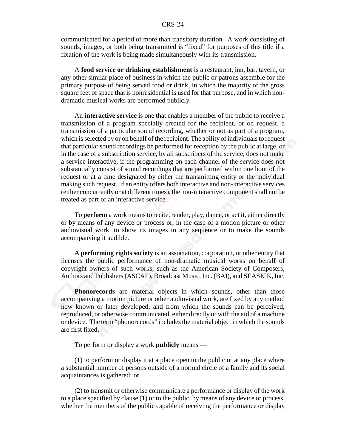communicated for a period of more than transitory duration. A work consisting of sounds, images, or both being transmitted is "fixed" for purposes of this title if a fixation of the work is being made simultaneously with its transmission.

A **food service or drinking establishment** is a restaurant, inn, bar, tavern, or any other similar place of business in which the public or patrons assemble for the primary purpose of being served food or drink, in which the majority of the gross square feet of space that is nonresidential is used for that purpose, and in which nondramatic musical works are performed publicly.

An **interactive service** is one that enables a member of the public to receive a transmission of a program specially created for the recipient, or on request, a transmission of a particular sound recording, whether or not as part of a program, which is selected by or on behalf of the recipient. The ability of individuals to request that particular sound recordings be performed for reception by the public at large, or in the case of a subscription service, by all subscribers of the service, does not make a service interactive, if the programming on each channel of the service does not substantially consist of sound recordings that are performed within one hour of the request or at a time designated by either the transmitting entity or the individual making such request. If an entity offers both interactive and non-interactive services (either concurrently or at different times), the non-interactive component shall not be treated as part of an interactive service.

To **perform** a work means to recite, render, play, dance, or act it, either directly or by means of any device or process or, in the case of a motion picture or other audiovisual work, to show its images in any sequence or to make the sounds accompanying it audible.

A **performing rights society** is an association, corporation, or other entity that licenses the public performance of non-dramatic musical works on behalf of copyright owners of such works, such as the American Society of Composers, Authors and Publishers (ASCAP), Broadcast Music, Inc. (BAI), and SEASICK, Inc.

**Phonorecords** are material objects in which sounds, other than those accompanying a motion picture or other audiovisual work, are fixed by any method now known or later developed, and from which the sounds can be perceived, reproduced, or otherwise communicated, either directly or with the aid of a machine or device. The term "phonorecords" includes the material object in which the sounds are first fixed.

To perform or display a work **publicly** means —

(1) to perform or display it at a place open to the public or at any place where a substantial number of persons outside of a normal circle of a family and its social acquaintances is gathered; or

(2) to transmit or otherwise communicate a performance or display of the work to a place specified by clause (1) or to the public, by means of any device or process, whether the members of the public capable of receiving the performance or display